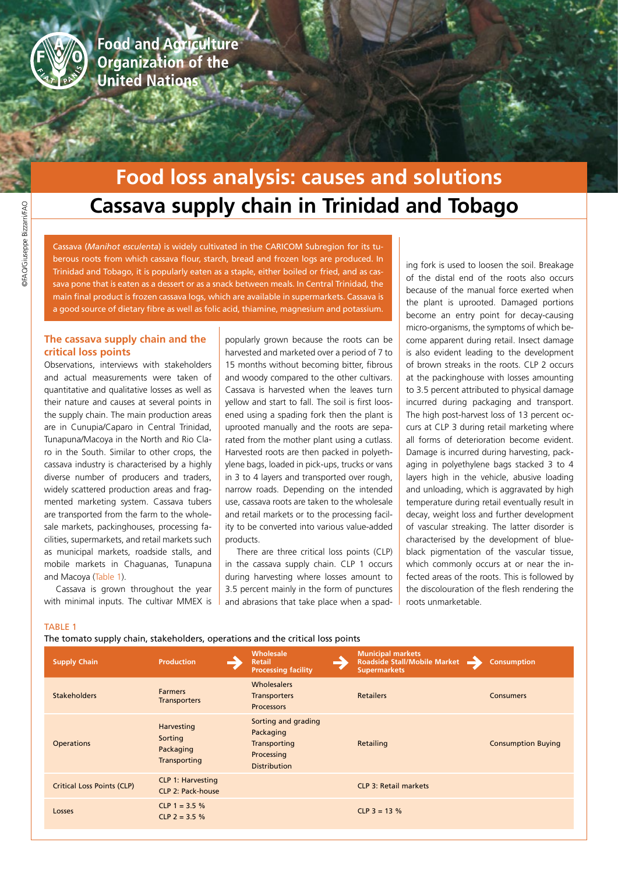

**Food and Agriculture Organization of the United Nations** 

# **Cassava supply chain in Trinidad and Tobago Food loss analysis: causes and solutions**

Cassava (*Manihot esculenta*) is widely cultivated in the CARICOM Subregion for its tuberous roots from which cassava flour, starch, bread and frozen logs are produced. In Trinidad and Tobago, it is popularly eaten as a staple, either boiled or fried, and as cassava pone that is eaten as a dessert or as a snack between meals. In Central Trinidad, the main final product is frozen cassava logs, which are available in supermarkets. Cassava is a good source of dietary fibre as well as folic acid, thiamine, magnesium and potassium.

# **The cassava supply chain and the critical loss points**

Observations, interviews with stakeholders and actual measurements were taken of quantitative and qualitative losses as well as their nature and causes at several points in the supply chain. The main production areas are in Cunupia/Caparo in Central Trinidad, Tunapuna/Macoya in the North and Rio Claro in the South. Similar to other crops, the cassava industry is characterised by a highly diverse number of producers and traders, widely scattered production areas and fragmented marketing system. Cassava tubers are transported from the farm to the wholesale markets, packinghouses, processing facilities, supermarkets, and retail markets such as municipal markets, roadside stalls, and mobile markets in Chaguanas, Tunapuna and Macoya (Table 1).

Cassava is grown throughout the year with minimal inputs. The cultivar MMEX is

popularly grown because the roots can be harvested and marketed over a period of 7 to 15 months without becoming bitter, fibrous and woody compared to the other cultivars. Cassava is harvested when the leaves turn yellow and start to fall. The soil is first loosened using a spading fork then the plant is uprooted manually and the roots are separated from the mother plant using a cutlass. Harvested roots are then packed in polyethylene bags, loaded in pick-ups, trucks or vans in 3 to 4 layers and transported over rough, narrow roads. Depending on the intended use, cassava roots are taken to the wholesale and retail markets or to the processing facility to be converted into various value-added products.

There are three critical loss points (CLP) in the cassava supply chain. CLP 1 occurs during harvesting where losses amount to 3.5 percent mainly in the form of punctures and abrasions that take place when a spading fork is used to loosen the soil. Breakage of the distal end of the roots also occurs because of the manual force exerted when the plant is uprooted. Damaged portions become an entry point for decay-causing micro-organisms, the symptoms of which become apparent during retail. Insect damage is also evident leading to the development of brown streaks in the roots. CLP 2 occurs at the packinghouse with losses amounting to 3.5 percent attributed to physical damage incurred during packaging and transport. The high post-harvest loss of 13 percent occurs at CLP 3 during retail marketing where all forms of deterioration become evident. Damage is incurred during harvesting, packaging in polyethylene bags stacked 3 to 4 layers high in the vehicle, abusive loading and unloading, which is aggravated by high temperature during retail eventually result in decay, weight loss and further development of vascular streaking. The latter disorder is characterised by the development of blueblack pigmentation of the vascular tissue, which commonly occurs at or near the infected areas of the roots. This is followed by the discolouration of the flesh rendering the roots unmarketable.

### TABLE 1

The tomato supply chain, stakeholders, operations and the critical loss points

| <b>Supply Chain</b>               | <b>Production</b>                                    | Wholesale<br><b>Retail</b><br><b>Processing facility</b>                              | <b>Municipal markets</b><br><b>Roadside Stall/Mobile Market</b><br><b>Supermarkets</b> | <b>Consumption</b>        |
|-----------------------------------|------------------------------------------------------|---------------------------------------------------------------------------------------|----------------------------------------------------------------------------------------|---------------------------|
| <b>Stakeholders</b>               | <b>Farmers</b><br><b>Transporters</b>                | <b>Wholesalers</b><br><b>Transporters</b><br><b>Processors</b>                        | <b>Retailers</b>                                                                       | <b>Consumers</b>          |
| <b>Operations</b>                 | Harvesting<br>Sorting<br>Packaging<br>Transporting   | Sorting and grading<br>Packaging<br>Transporting<br>Processing<br><b>Distribution</b> | Retailing                                                                              | <b>Consumption Buying</b> |
| <b>Critical Loss Points (CLP)</b> | <b>CLP 1: Harvesting</b><br><b>CLP 2: Pack-house</b> |                                                                                       | <b>CLP 3: Retail markets</b>                                                           |                           |
| Losses                            | CLP 1 = $3.5%$<br>CLP 2 = $3.5\%$                    |                                                                                       | $CLP$ 3 = 13 %                                                                         |                           |